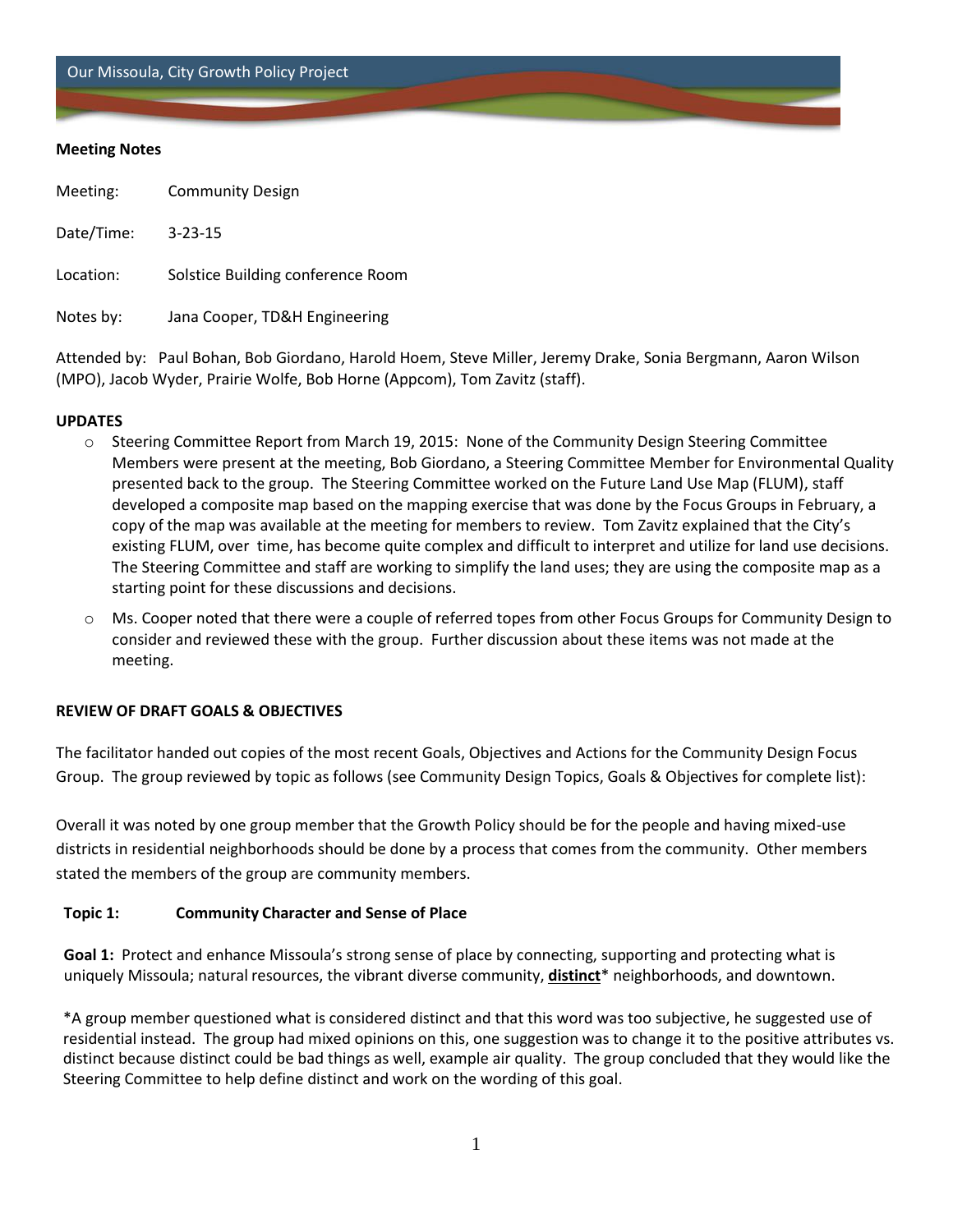Our Missoula, City Growth Policy Project

#### **Meeting Notes**

| Meeting:   | <b>Community Design</b>           |
|------------|-----------------------------------|
| Date/Time: | $3 - 23 - 15$                     |
| Location:  | Solstice Building conference Room |
| Notes by:  | Jana Cooper, TD&H Engineering     |

Attended by: Paul Bohan, Bob Giordano, Harold Hoem, Steve Miller, Jeremy Drake, Sonia Bergmann, Aaron Wilson (MPO), Jacob Wyder, Prairie Wolfe, Bob Horne (Appcom), Tom Zavitz (staff).

### **UPDATES**

- o Steering Committee Report from March 19, 2015: None of the Community Design Steering Committee Members were present at the meeting, Bob Giordano, a Steering Committee Member for Environmental Quality presented back to the group. The Steering Committee worked on the Future Land Use Map (FLUM), staff developed a composite map based on the mapping exercise that was done by the Focus Groups in February, a copy of the map was available at the meeting for members to review. Tom Zavitz explained that the City's existing FLUM, over time, has become quite complex and difficult to interpret and utilize for land use decisions. The Steering Committee and staff are working to simplify the land uses; they are using the composite map as a starting point for these discussions and decisions.
- $\circ$  Ms. Cooper noted that there were a couple of referred topes from other Focus Groups for Community Design to consider and reviewed these with the group. Further discussion about these items was not made at the meeting.

## **REVIEW OF DRAFT GOALS & OBJECTIVES**

The facilitator handed out copies of the most recent Goals, Objectives and Actions for the Community Design Focus Group. The group reviewed by topic as follows (see Community Design Topics, Goals & Objectives for complete list):

Overall it was noted by one group member that the Growth Policy should be for the people and having mixed-use districts in residential neighborhoods should be done by a process that comes from the community. Other members stated the members of the group are community members.

## **Topic 1: Community Character and Sense of Place**

**Goal 1:** Protect and enhance Missoula's strong sense of place by connecting, supporting and protecting what is uniquely Missoula; natural resources, the vibrant diverse community, **distinct**\* neighborhoods, and downtown.

\*A group member questioned what is considered distinct and that this word was too subjective, he suggested use of residential instead. The group had mixed opinions on this, one suggestion was to change it to the positive attributes vs. distinct because distinct could be bad things as well, example air quality. The group concluded that they would like the Steering Committee to help define distinct and work on the wording of this goal.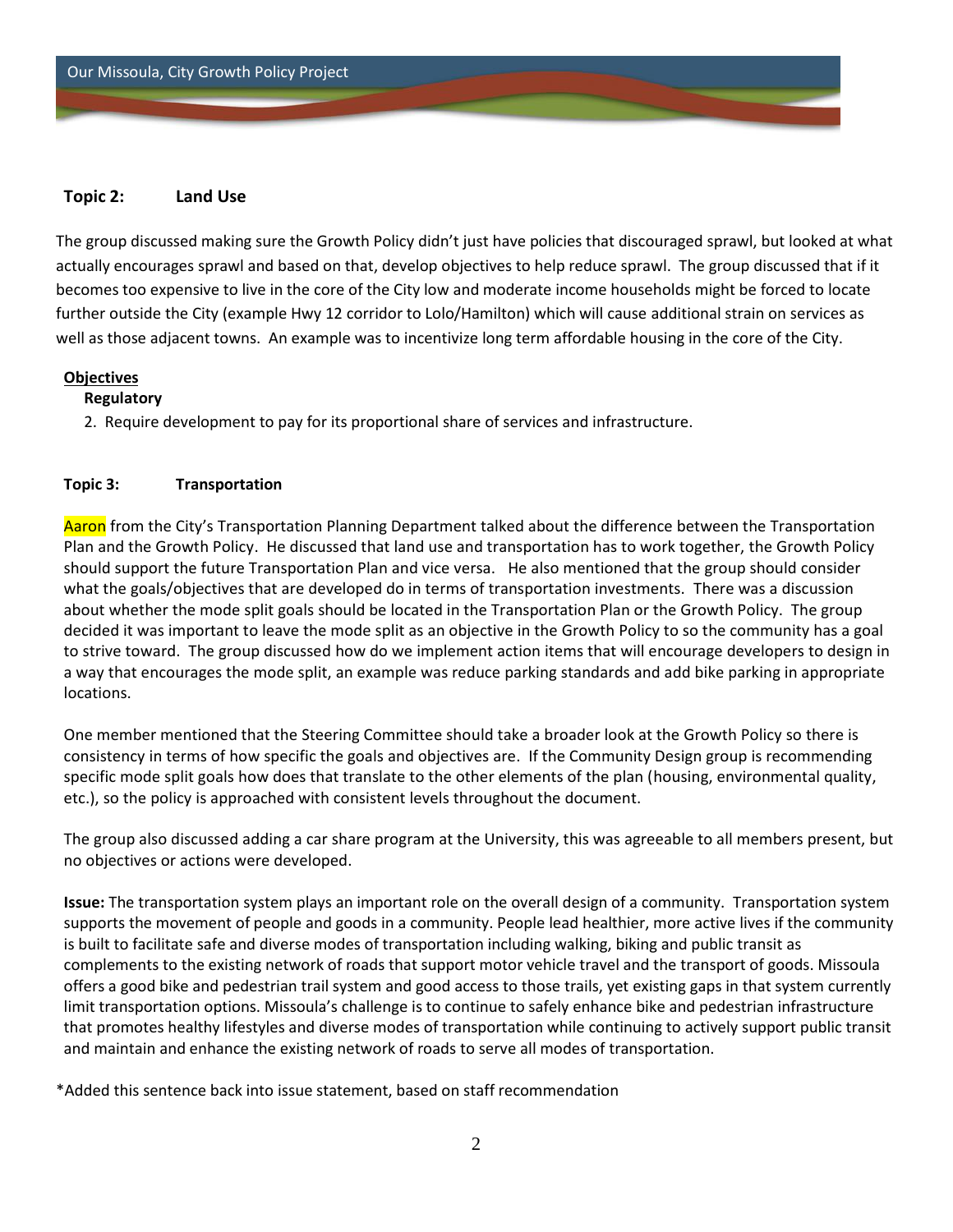## **Topic 2: Land Use**

The group discussed making sure the Growth Policy didn't just have policies that discouraged sprawl, but looked at what actually encourages sprawl and based on that, develop objectives to help reduce sprawl. The group discussed that if it becomes too expensive to live in the core of the City low and moderate income households might be forced to locate further outside the City (example Hwy 12 corridor to Lolo/Hamilton) which will cause additional strain on services as well as those adjacent towns. An example was to incentivize long term affordable housing in the core of the City.

#### **Objectives**

### **Regulatory**

2. Require development to pay for its proportional share of services and infrastructure.

### **Topic 3: Transportation**

Aaron from the City's Transportation Planning Department talked about the difference between the Transportation Plan and the Growth Policy. He discussed that land use and transportation has to work together, the Growth Policy should support the future Transportation Plan and vice versa. He also mentioned that the group should consider what the goals/objectives that are developed do in terms of transportation investments. There was a discussion about whether the mode split goals should be located in the Transportation Plan or the Growth Policy. The group decided it was important to leave the mode split as an objective in the Growth Policy to so the community has a goal to strive toward. The group discussed how do we implement action items that will encourage developers to design in a way that encourages the mode split, an example was reduce parking standards and add bike parking in appropriate locations.

One member mentioned that the Steering Committee should take a broader look at the Growth Policy so there is consistency in terms of how specific the goals and objectives are. If the Community Design group is recommending specific mode split goals how does that translate to the other elements of the plan (housing, environmental quality, etc.), so the policy is approached with consistent levels throughout the document.

The group also discussed adding a car share program at the University, this was agreeable to all members present, but no objectives or actions were developed.

**Issue:** The transportation system plays an important role on the overall design of a community. Transportation system supports the movement of people and goods in a community. People lead healthier, more active lives if the community is built to facilitate safe and diverse modes of transportation including walking, biking and public transit as complements to the existing network of roads that support motor vehicle travel and the transport of goods. Missoula offers a good bike and pedestrian trail system and good access to those trails, yet existing gaps in that system currently limit transportation options. Missoula's challenge is to continue to safely enhance bike and pedestrian infrastructure that promotes healthy lifestyles and diverse modes of transportation while continuing to actively support public transit and maintain and enhance the existing network of roads to serve all modes of transportation.

\*Added this sentence back into issue statement, based on staff recommendation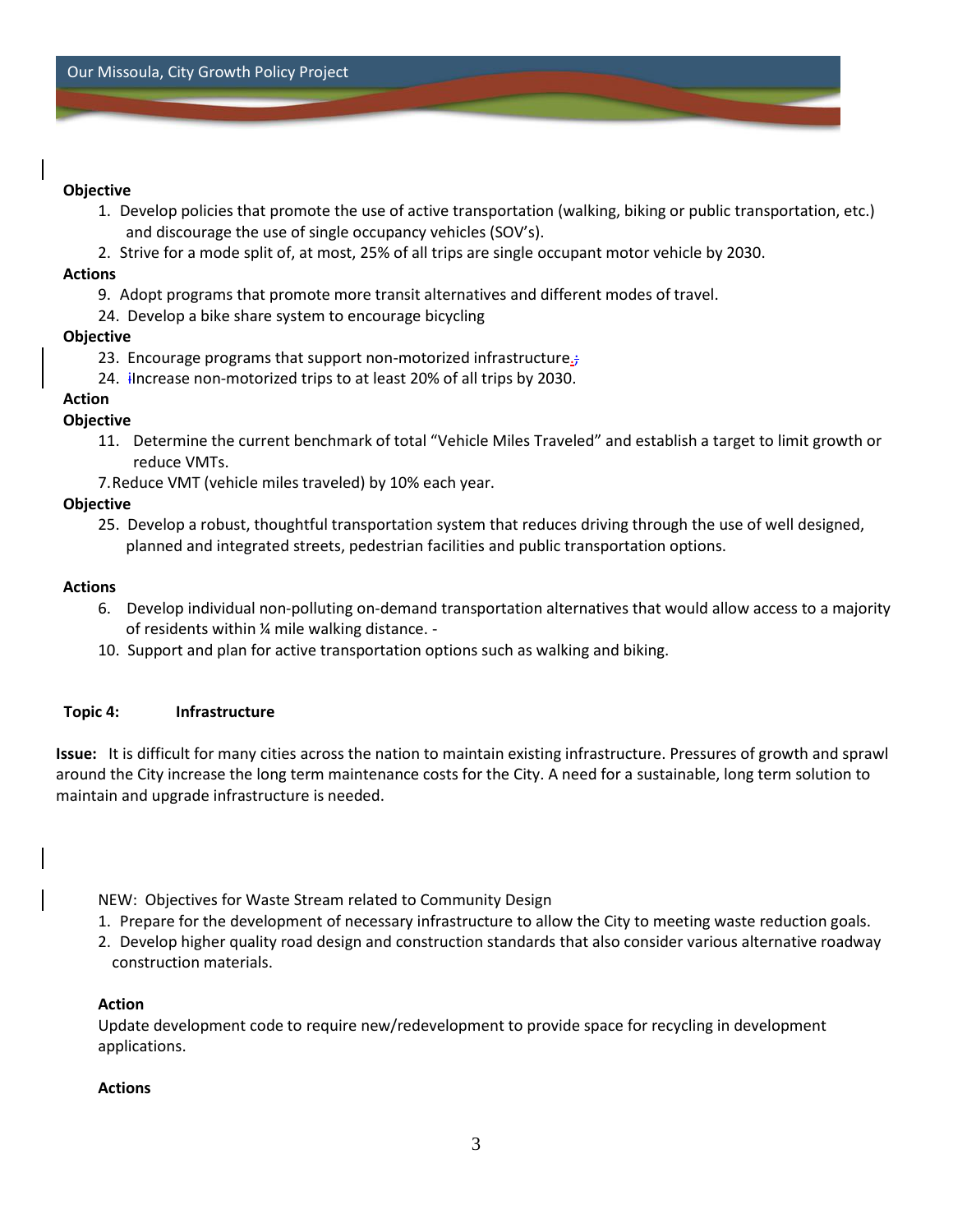## **Objective**

- 1. Develop policies that promote the use of active transportation (walking, biking or public transportation, etc.) and discourage the use of single occupancy vehicles (SOV's).
- 2. Strive for a mode split of, at most, 25% of all trips are single occupant motor vehicle by 2030.

### **Actions**

- 9. Adopt programs that promote more transit alternatives and different modes of travel.
- 24. Develop a bike share system to encourage bicycling

## **Objective**

- 23. Encourage programs that support non-motorized infrastructure.;
- 24. increase non-motorized trips to at least 20% of all trips by 2030.

# **Action**

# **Objective**

- 11. Determine the current benchmark of total "Vehicle Miles Traveled" and establish a target to limit growth or reduce VMTs.
- 7.Reduce VMT (vehicle miles traveled) by 10% each year.

# **Objective**

25. Develop a robust, thoughtful transportation system that reduces driving through the use of well designed, planned and integrated streets, pedestrian facilities and public transportation options.

## **Actions**

- 6. Develop individual non-polluting on-demand transportation alternatives that would allow access to a majority of residents within ¼ mile walking distance. -
- 10. Support and plan for active transportation options such as walking and biking.

## **Topic 4: Infrastructure**

**Issue:** It is difficult for many cities across the nation to maintain existing infrastructure. Pressures of growth and sprawl around the City increase the long term maintenance costs for the City. A need for a sustainable, long term solution to maintain and upgrade infrastructure is needed.

NEW: Objectives for Waste Stream related to Community Design

- 1. Prepare for the development of necessary infrastructure to allow the City to meeting waste reduction goals.
- 2. Develop higher quality road design and construction standards that also consider various alternative roadway construction materials.

## **Action**

Update development code to require new/redevelopment to provide space for recycling in development applications.

## **Actions**